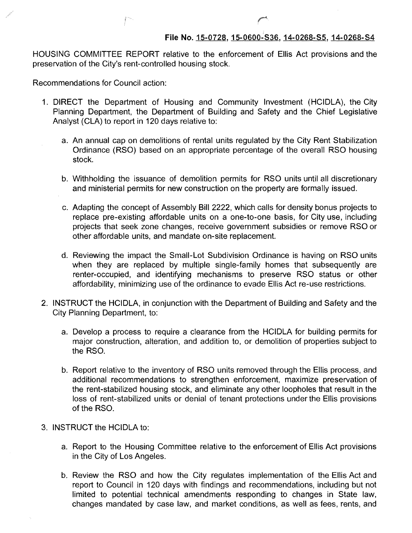HOUSING COMMITTEE REPORT relative to the enforcement of Ellis Act provisions and the preservation of the City's rent-controlled housing stock.

Recommendations for Council action:

- 1. DIRECT the Department of Housing and Community Investment (HCIDLA), the City Planning Department, the Department of Building and Safety and the Chief Legislative Analyst (CLA) to report in 120 days relative to:
	- a. An annual cap on demolitions of rental units regulated by the City Rent Stabilization Ordinance (RSO) based on an appropriate percentage of the overall RSO housing stock.
	- b. Withholding the issuance of demolition permits for RSO units until all discretionary and ministerial permits for new construction on the property are formally issued.
	- c. Adapting the concept of Assembly Bill 2222, which calls for density bonus projects to replace pre-existing affordable units on a one-to-one basis, for City use, including projects that seek zone changes, receive government subsidies or remove RSO or other affordable units, and mandate on-site replacement.
	- d. Reviewing the impact the Small-Lot Subdivision Ordinance is having on RSO units when they are replaced by multiple single-family homes that subsequently are renter-occupied, and identifying mechanisms to preserve RSO status or other affordability, minimizing use of the ordinance to evade Ellis Act re-use restrictions.
- 2. INSTRUCT the HCIDLA, in conjunction with the Department of Building and Safety and the City Planning Department, to:
	- a. Develop a process to require a clearance from the HCIDLA for building permits for major construction, alteration, and addition to, or demolition of properties subject to the RSO.
	- b. Report relative to the inventory of RSO units removed through the Ellis process, and additional recommendations to strengthen enforcement, maximize preservation of the rent-stabilized housing stock, and eliminate any other loopholes that result in the loss of rent-stabilized units or denial of tenant protections under the Ellis provisions of the RSO.
- 3. INSTRUCT the HCIDLA to:
	- a. Report to the Housing Committee relative to the enforcement of Ellis Act provisions in the City of Los Angeles.
	- b. Review the RSO and how the City regulates implementation of the Ellis Act and report to Council in 120 days with findings and recommendations, including but not limited to potential technical amendments responding to changes in State law, changes mandated by case law, and market conditions, as well as fees, rents, and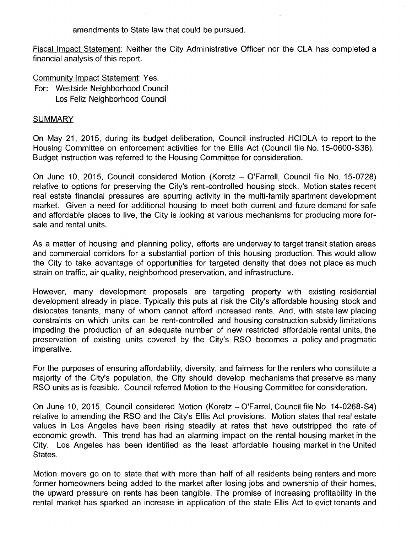amendments to State law that could be pursued.

Fiscal Impact Statement: Neither the City Administrative Officer nor the CLA has completed a financial analysis of this report.

Community Impact Statement: Yes. For: Westside Neighborhood Council Los Feliz Neighborhood Council

## **SUMMARY**

On May 21, 2015, during its budget deliberation, Council instructed HCIDLA to report to the Housing Committee on enforcement activities for the Ellis Act (Council file No. 15-0600-S36). Budget instruction was referred to the Housing Committee for consideration.

On June 10, 2015, Council considered Motion (Koretz - O'Farrell, Council file No. 15-0728) relative to options for preserving the City's rent-controlled housing stock. Motion states recent real estate financial pressures are spurring activity in the multi-family apartment development market. Given a need for additional housing to meet both current and future demand for safe and affordable places to live, the City is looking at various mechanisms for producing more forsale and rental units.

As a matter of housing and planning policy, efforts are underway to target transit station areas and commercial corridors for a substantial portion of this housing production. This would allow the City to take advantage of opportunities for targeted density that does not place as much strain on traffic, air quality, neighborhood preservation, and infrastructure.

However, many development proposals are targeting property with existing residential development already in place. Typically this puts at risk the City's affordable housing stock and dislocates tenants, many of whom cannot afford increased rents. And, with state law placing constraints on which units can be rent-controlled and housing construction subsidy limitations impeding the production of an adequate number of new restricted affordable rental units, the preservation of existing units covered by the City's RSO becomes a policy and pragmatic imperative.

For the purposes of ensuring affordability, diversity, and fairness for the renters who constitute a majority of the City's population, the City should develop mechanisms that preserve as many RSO units as is feasible. Council referred Motion to the Housing Committee for consideration.

On June 10, 2015, Council considered Motion (Koretz - O'Farrel, Council file No. 14-0268-S4) relative to amending the RSO and the City's Ellis Act provisions. Motion states that real estate values in Los Angeles have been rising steadily at rates that have outstripped the rate of economic growth. This trend has had an alarming impact on the rental housing market in the City. Los Angeles has been identified as the least affordable housing market in the United States.

Motion movers go on to state that with more than half of all residents being renters and more former homeowners being added to the market after losing jobs and ownership of their homes, the upward pressure on rents has been tangible. The promise of increasing profitability in the rental market has sparked an increase in application of the state Ellis Act to evict tenants and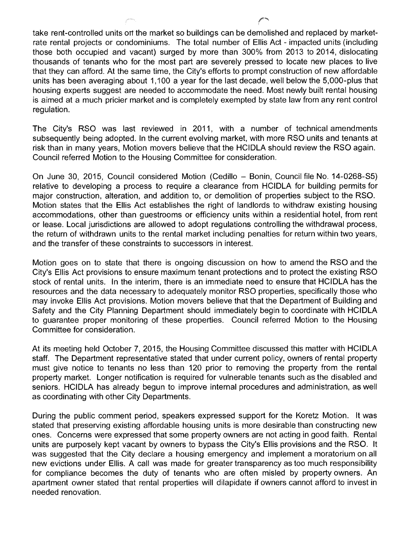take rent-controlled units orf the market so buildings can be demolished and replaced by marketrate rental projects or condominiums. The total number of Ellis Act - impacted units (including those both occupied and vacant) surged by more than 300% from 2013 to 2014, dislocating thousands of tenants who for the most part are severely pressed to locate new places to live that they can afford. At the same time, the City's efforts to prompt construction of new affordable units has been averaging about 1,100 a year for the last decade, well below the 5,000-plus that housing experts suggest are needed to accommodate the need. Most newly built rental housing is aimed at a much pricier market and is completely exempted by state law from any rent control regulation.

The City's RSO was last reviewed in 2011, with a number of technical amendments subsequently being adopted. In the current evolving market, with more RSO units and tenants at risk than in many years, Motion movers believe that the HCIDLA should review the RSO again. Council referred Motion to the Housing Committee for consideration.

On June 30, 2015, Council considered Motion (Cedillo - Bonin, Council file No. 14-0268-S5) relative to developing a process to require a clearance from HCIDLA for building permits for major construction, alteration, and addition to, or demolition of properties subject to the RSO. Motion states that the Ellis Act establishes the right of landlords to withdraw existing housing accommodations, other than guestrooms or efficiency units within a residential hotel, from rent or lease. Local jurisdictions are allowed to adopt regulations controlling the withdrawal process, the return of withdrawn units to the rental market including penalties for return within two years, and the transfer of these constraints to successors in interest.

Motion goes on to state that there is ongoing discussion on how to amend the RSO and the City's Ellis Act provisions to ensure maximum tenant protections and to protect the existing RSO stock of rental units. In the interim, there is an immediate need to ensure that HCIDLA has the resources and the data necessary to adequately monitor RSO properties, specifically those who may invoke Ellis Act provisions. Motion movers believe that that the Department of Building and Safety and the City Planning Department should immediately begin to coordinate with HCIDLA to guarantee proper monitoring of these properties. Council referred Motion to the Housing Committee for consideration.

At its meeting held October 7, 2015, the Housing Committee discussed this matter with HCIDLA staff. The Department representative stated that under current policy, owners of rental property must give notice to tenants no less than 120 prior to removing the property from the rental property market. Longer notification is required for vulnerable tenants such as the disabled and seniors. HCIDLA has already begun to improve internal procedures and administration, as well as coordinating with other City Departments.

During the public comment period, speakers expressed support for the Koretz Motion. It was stated that preserving existing affordable housing units is more desirable than constructing new ones. Concerns were expressed that some property owners are not acting in good faith. Rental units are purposely kept vacant by owners to bypass the City's Ellis provisions and the RSO. It was suggested that the City declare a housing emergency and implement a moratorium on all new evictions under Ellis. A call was made for greater transparency as too much responsibility for compliance becomes the duty of tenants who are often misled by property owners. An apartment owner stated that rental properties will dilapidate if owners cannot afford to invest in needed renovation.